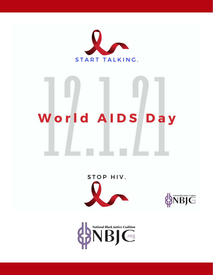

# World AIDS Day





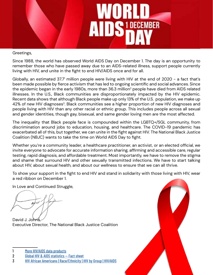

Greetings,

Since 1988, the world has observed World AIDS Day on December 1. The day is an opportunity to remember those who have passed away due to an AIDS-related illness, support people currently living with HIV, and unite in the fight to end HIV/AIDS once and for all.

Globally, an estimated 37.7 $\,$  million people were living with HIV at the end of 2020 - a fact that's been made possible by fierce activism that has led to ongoing scientific and social advances. Since the epidemic began in the early 1980s, more than 36.3 million<sup>2</sup> people have died from AIDS related illnesses. In the U.S., Black communities are disproportionately impacted by the HIV epidemic. Recent data shows that although Black people make up only 13% of the U.S. population, we make up 42% of new HIV diagnoses<sup>3</sup>. Black communities see a higher proportion of new HIV diagnoses and people living with HIV than any other racial or ethnic group. This includes people across all sexual and gender identities, though gay, bisexual, and same gender loving men are the most affected.

The inequality that Black people face is compounded within the LGBTQ+/SGL community, from discrimination around jobs to education, housing, and healthcare. The COVID-19 pandemic has exacerbated all of this, but together, we can unite in the fight against HIV. The National Black Justice Coalition (NBJC) wants to take the time on World AIDS Day to fight.

Whether you're a community leader, a healthcare practitioner, an activist, or an elected official, we invite everyone to advocate for accurate information sharing, affirming and accessible care, regular testing, rapid diagnosis, and affordable treatment. Most importantly, we have to remove the stigma and shame that surround HIV and other sexually transmitted infections. We have to start talking about HIV, about sexual health, and about our wellness to ensure that we can all thrive.

To show your support in the fight to end HIV and stand in solidarity with those living with HIV, wear a red ribbon on December 1.

In Love and Continued Struggle,

David J. Johns Executive Director, The National Black Justice Coalition

- 1 [More HIV/AIDS data products](https://www.who.int/data/gho/data/themes/hiv-aids)
- 2 [Global HIV & AIDS statistics Fact sheet](https://www.unaids.org/en/resources/fact-sheet)
- 3 [HIV African Americans | Race/Ethnicity | HIV by Group | HIV/AIDS](https://www.cdc.gov/hiv/group/racialethnic/africanamericans/index.html)

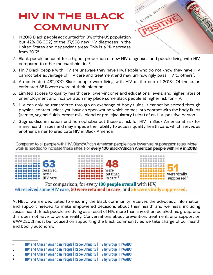# **HIV IN THE BLACK COMMUNITY**

1. In 2018, Black people accounted for 13% of the US population but 42% (16,002) of the 37,968 new HIV diagnoses in the United States and dependent areas. This is a 1% decrease from 20174.



- 2. Black people account for a higher proportion of new HIV diagnoses and people living with HIV, compared to other races/ethnicities<sup>5</sup>.
- 3. 1 in 7 Black people with HIV are unaware they have HIV. People who do not know they have HIV cannot take advantage of HIV care and treatment and may unknowingly pass HIV to others<sup>6</sup>.
- 4. An estimated 482,900 Black people were living with HIV at the end of 2018<sup>7</sup> . Of those, an estimated 85% were aware of their infection.
- 5. Limited access to quality health care, lower-income and educational levels, and higher rates of unemployment and incarceration may place some Black people at higher risk for HIV.
- 6. HIV can only be transmitted through an exchange of body fluids. It cannot be spread through physical contact unless you have an open wound which comes into contact with the body fluids (semen, vaginal fluids, breast milk, blood or pre-ejaculatory fluids) of an HIV-positive person.
- 7. Stigma, discrimination, and homophobia put those at risk for HIV in Black America at risk for many health issues and may impede their ability to access quality health care, which serves as another barrier to eradicate HIV in Black America.

Compared to all people with HIV, Black/African American people have lower viral suppression rates. More work is needed to increase these rates. For every 100 Black/African American people with HIV in 2018:



```
For comparison, for every 100 people overall with HIV,
65 received some HIV care, 50 were retained in care, and 56 were virally suppressed.
```
At NBJC, we are dedicated to ensuring the Black community receives the advocacy, information, and support needed to make empowered decisions about their health and wellness, including sexual health. Black people are dying as a result of HIV, more than any other racial/ethnic group, and this does not have to be our reality. Conversations about prevention, treatment, and support on #WAD2021 must be focused on supporting the Black community as we take charge of our health and bodily autonomy.

4 [HIV and African American People | Race/Ethnicity | HIV by Group | HIV/AIDS](https://www.cdc.gov/hiv/group/racialethnic/africanamericans/index.html)

<sup>5</sup> [HIV and African American People | Race/Ethnicity | HIV by Group | HIV/AIDS](https://www.cdc.gov/hiv/group/racialethnic/africanamericans/index.html)

<sup>6</sup> [HIV and African American People | Race/Ethnicity | HIV by Group | HIV/AIDS](https://www.cdc.gov/hiv/group/racialethnic/africanamericans/index.html)

<sup>7</sup> [HIV and African American People | Race/Ethnicity | HIV by Group | HIV/AIDS](https://www.cdc.gov/hiv/group/racialethnic/africanamericans/index.html)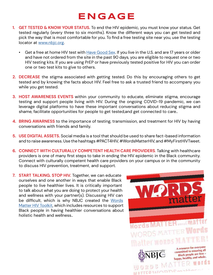# **ENGAGE**

- **1. GET TESTED & KNOW YOUR STATUS.** To end the HIV epidemic, you must know your status. Get tested regularly (every three to six months). Know the different ways you can get tested and pick the way that is most comfortable for you. To find a free testing site near you, use the testing locator at [www.nbjc.org.](http://www.nbjc.org)
	- Get a free at home HIV test with [Have Good Sex](https://www.havegoodsex.org/). If you live in the U.S. and are 17 years or older and have not ordered from the site in the past 90 days, you are eligible to request one or two HIV testing kits. If you are using PrEP or have previously tested positive for HIV you can order one or two test kits to give to others.
- **2. DECREASE** the stigma associated with getting tested. Do this by encouraging others to get tested and by knowing the facts about HIV. Feel free to ask a trusted friend to accompany you while you get tested.
- **3. HOST AWARENESS EVENTS** within your community to educate, eliminate stigma, encourage testing and support people living with HIV. During the ongoing COVID-19 pandemic, we can leverage digital platforms to have these important conversations about reducing stigma and shame, facilitate opportunities for people to get tested,and get connected to care..
- **4. BRING AWARNESS** to the importance of testing, transmission, and treatment for HIV by having conversations with friends and family.
- **5. USE DIGITAL ASSETS.** Social media is a tool that should be used to share fact-based information and to raise awareness. Use the hashtags #PACT4HIV, #WordsMatterHIV, and #MyFirstHIVTweet.
- **6. CONNECT WITH CULTURALLY COMPETENT HEALTH CARE PROVIDERS**. Talking with healthcare providers is one of many first steps to take in ending the HIV epidemic in the Black community. Connect with culturally competent health care providers on your campus or in the community to discuss HIV prevention, treatment, and support.
- **7. START TALKING. STOP HIV.** Together, we can educate ourselves and one another in ways that enable Black people to live healthier lives. It is critically important to talk about what you are doing to protect your health and wellness with your partner(s). Discussing HIV can be difficult, which is why NBJC created the [Words](https://nbjc.org/wp-content/uploads/2020/11/Words-Matter-HIV-Toolkit-2020-web.pdf) [Matter HIV Toolkit](https://nbjc.org/wp-content/uploads/2020/11/Words-Matter-HIV-Toolkit-2020-web.pdf), which includes resources to support Black people in having healthier conversations about holistic health and wellness..

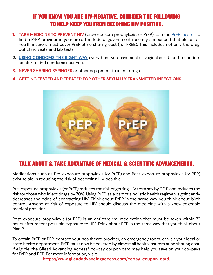### IF YOU KNOW YOU ARE HIV-NEGATIVE, CONSIDER THE FOLLOWING TO HELP KEEP YOU FROM BECOMING HIV POSITIVE.

- **1. TAKE MEDICINE TO PREVENT HIV** (pre-exposure prophylaxis, or PrEP). Use the [PrEP locator](https://preplocator.org/) to find a PrEP provider in your area. The federal government recently announced that almost all health insurers must cover PrEP at no sharing cost (for FREE). This includes not only the drug, but clinic visits and lab tests.
- **2. [USING CONDOMS THE RIGHT WAY](https://www.cdc.gov/condomeffectiveness/external-condom-use.html)** every time you have anal or vaginal sex. Use the condom locator to find condoms near you.
- **3. NEVER SHARING SYRINGES** or other equipment to inject drugs.
- **4. GETTING TESTED AND TREATED FOR OTHER SEXUALLY TRANSMITTED INFECTIONS.**



### TALK ABOUT & TAKE ADVANTAGE OF MEDICAL & SCIENTIFIC ADVANCEMENTS.

Medications such as Pre-exposure prophylaxis (or PrEP) and Post-exposure prophylaxis (or PEP) exist to aid in reducing the risk of becoming HIV positive.

Pre-exposure prophylaxis (or PrEP) reduces the risk of getting HIV from sex by 90% and reduces the risk for those who inject drugs by 70%. Using PrEP, as a part of a holistic health regimen, significantly decreases the odds of contracting HIV. Think about PrEP in the same way you think about birth control. Anyone at risk of exposure to HIV should discuss the medicine with a knowledgeable medical provider.

Post-exposure prophylaxis (or PEP) is an antiretroviral medication that must be taken within 72 hours after recent possible exposure to HIV. Think about PEP in the same way that you think about Plan B.

To obtain PrEP or PEP, contact your healthcare provider, an emergency room, or visit your local or state health department. PrEP must now be covered by almost all health insurers at no sharing cost. If eligible, the Gilead Advancing Access® co-pay coupon card may help you save on your co-pays for PrEP and PEP. For more information, visit:

**<https://www.gileadadvancingaccess.com/copay-coupon-card>**.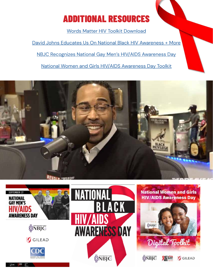# ADDITIONAL RESOURCES

[Words Matter HIV Toolkit Download](http://nbjc.org/words-matter)

[David Johns Educates Us On National Black HIV Awareness + More](https://www.youtube.com/watch?v=EveS5YiQ5FE) [NBJC Recognizes National Gay Men's HIV/AIDS Awareness Day](https://nbjc.org/wp-content/uploads/2021/09/NGMHAAD-toolkit-2021.pdf) [National Women and Girls HIV/AIDS Awareness Day Toolkit](https://nbjc.org/wp-content/uploads/2021/10/NWGHAAD-2021.pdf)



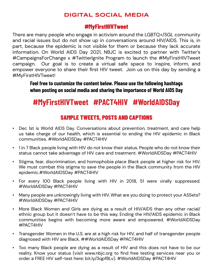### **DIGITAL SOCIAL MEDIA**

### #MyFirstHIVTweet

There are many people who engage in activism around the LGBTQ+/SGL community and racial issues but do not show up in conversations around HIV/AIDS. This is, in part, because the epidemic is not visible for them or because they lack accurate information. On World AIDS Day 2021, NBJC is excited to partner with Twitter's #CampaignsForChange x #TwitterIgnite Program to launch the #MyFirstHIVTweet campaign. Our goal is to create a virtual safe space to inspire, inform, and empower everyone to share their first HIV tweet. Join us on this day by sending a #MyFirstHIVTweet!

**Feel free to customize the content below. Please use the following hashtags when posting on social media and sharing the importance of World AIDS Day**

## **#MyFirstHIVTweet #PACT4HIV #WorldAIDSDay**

### SAMPLE TWEETS, POSTS AND CAPTIONS

- Dec 1st is World AIDS Day. Conversations about prevention, treatment, and care help us take charge of our health, which is essential to ending the HIV epidemic in Black communities. #WorldAIDSDay #PACT4HIV
- 1 in 7 Black people living with HIV do not know their status. People who do not know their status cannot take advantage of HIV care and treatment. #WorldAIDSDay #PACT4HIV
- Stigma, fear, discrimination, and homophobia place Black people at higher risk for HIV. We must combat this stigma to save the people in the Black community from the HIV epidemic.#WorldAIDSDay #PACT4HIV
- For every 100 Black people living with HIV in 2018, 51 were virally suppressed. #WorldAIDSDay #PACT4HIV
- Many people are unknowingly living with HIV. What are you doing to protect your ASSets? #WorldAIDSDay #PACT4HIV
- More Black Women and Girls are dying as a result of HIV/AIDS than any other racial/ ethnic group but it doesn't have to be this way. Ending the HIV/AIDS epidemic in Black communities begins with becoming more aware and empowered. #WorldAIDSDay #PACT4HIV
- Transgender Women in the U.S. are at a high risk for HIV, and half of transgender people diagnosed with HIV are Black. ##WorldAIDSDay #PACT4HIV
- Too many Black people are dying as a result of HIV and this does not have to be our reality. Know your status (visit www.nbjc.org to find free testing services near you or order a FREE HIV self-test here: bit.ly/3qpfBLv). #WorldAIDSDay #PACT4HIV